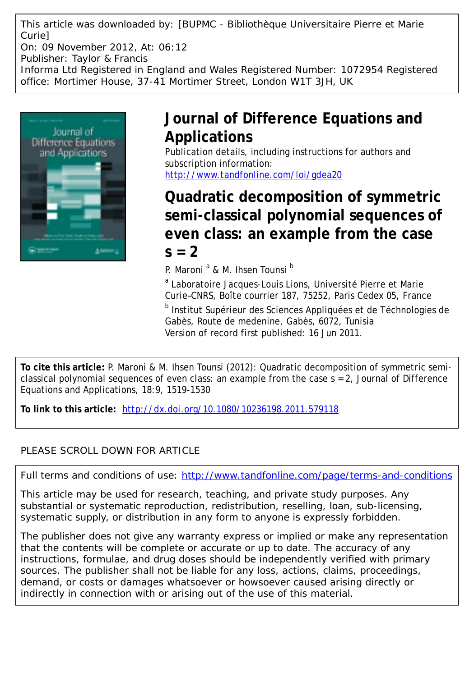This article was downloaded by: [BUPMC - Bibliothèque Universitaire Pierre et Marie Curie] On: 09 November 2012, At: 06:12 Publisher: Taylor & Francis

Informa Ltd Registered in England and Wales Registered Number: 1072954 Registered office: Mortimer House, 37-41 Mortimer Street, London W1T 3JH, UK



# **Journal of Difference Equations and Applications**

Publication details, including instructions for authors and subscription information: <http://www.tandfonline.com/loi/gdea20>

# **Quadratic decomposition of symmetric semi-classical polynomial sequences of even class: an example from the case**  $s = 2$

P. Maroni<sup>a</sup> & M. Ihsen Tounsi<sup>b</sup>

<sup>a</sup> Laboratoire Jacques-Louis Lions, Université Pierre et Marie Curie–CNRS, Boîte courrier 187, 75252, Paris Cedex 05, France

<sup>b</sup> Institut Supérieur des Sciences Appliquées et de Téchnologies de Gabès, Route de medenine, Gabès, 6072, Tunisia Version of record first published: 16 Jun 2011.

**To cite this article:** P. Maroni & M. Ihsen Tounsi (2012): Quadratic decomposition of symmetric semiclassical polynomial sequences of even class: an example from the case  $s = 2$ , Journal of Difference Equations and Applications, 18:9, 1519-1530

**To link to this article:** <http://dx.doi.org/10.1080/10236198.2011.579118>

# PLEASE SCROLL DOWN FOR ARTICLE

Full terms and conditions of use:<http://www.tandfonline.com/page/terms-and-conditions>

This article may be used for research, teaching, and private study purposes. Any substantial or systematic reproduction, redistribution, reselling, loan, sub-licensing, systematic supply, or distribution in any form to anyone is expressly forbidden.

The publisher does not give any warranty express or implied or make any representation that the contents will be complete or accurate or up to date. The accuracy of any instructions, formulae, and drug doses should be independently verified with primary sources. The publisher shall not be liable for any loss, actions, claims, proceedings, demand, or costs or damages whatsoever or howsoever caused arising directly or indirectly in connection with or arising out of the use of this material.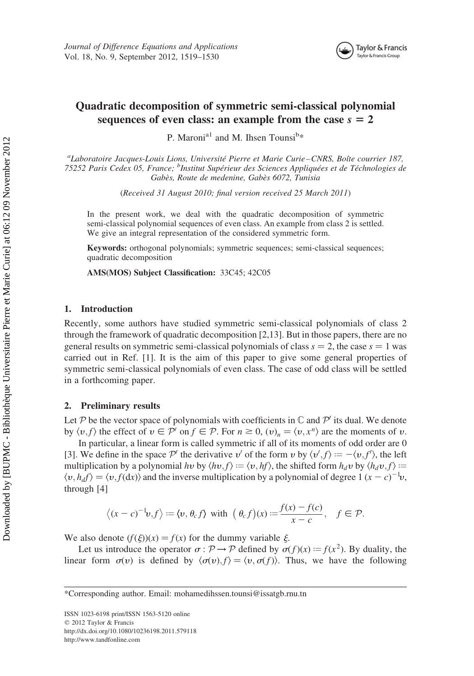

# Quadratic decomposition of symmetric semi-classical polynomial sequences of even class: an example from the case  $s = 2$

P. Maroni<sup>a1</sup> and M. Ihsen Tounsi<sup>b\*</sup>

<sup>a</sup>Laboratoire Jacques-Louis Lions, Université Pierre et Marie Curie–CNRS, Boîte courrier 187, 75252 Paris Cedex 05, France; <sup>b</sup>Institut Supérieur des Sciences Appliquées et de Téchnologies de Gabès, Route de medenine, Gabès 6072, Tunisia

(Received 31 August 2010; final version received 25 March 2011)

In the present work, we deal with the quadratic decomposition of symmetric semi-classical polynomial sequences of even class. An example from class 2 is settled. We give an integral representation of the considered symmetric form.

Keywords: orthogonal polynomials; symmetric sequences; semi-classical sequences; quadratic decomposition

AMS(MOS) Subject Classification: 33C45; 42C05

#### 1. Introduction

Recently, some authors have studied symmetric semi-classical polynomials of class 2 through the framework of quadratic decomposition [2,13]. But in those papers, there are no general results on symmetric semi-classical polynomials of class  $s = 2$ , the case  $s = 1$  was carried out in Ref. [1]. It is the aim of this paper to give some general properties of symmetric semi-classical polynomials of even class. The case of odd class will be settled in a forthcoming paper.

## 2. Preliminary results

Let P be the vector space of polynomials with coefficients in  $\mathbb C$  and  $\mathcal P'$  its dual. We denote by  $\langle v, f \rangle$  the effect of  $v \in \mathcal{P}'$  on  $f \in \mathcal{P}$ . For  $n \geq 0$ ,  $\langle v \rangle_n = \langle v, x^n \rangle$  are the moments of  $v$ .

In particular, a linear form is called symmetric if all of its moments of odd order are 0 [3]. We define in the space  $\mathcal{P}'$  the derivative v' of the form v by  $\langle v', f \rangle := -\langle v, f' \rangle$ , the left multiplication by a polynomial hy by  $\langle h v, f \rangle := \langle v, h f \rangle$ , the shifted form  $h_d v$  by  $\langle h_d v, f \rangle :=$  $\langle v, h_d f \rangle = \langle v, f(\mathrm{d}x) \rangle$  and the inverse multiplication by a polynomial of degree 1  $(x - c)^{-1}v$ , through [4]

$$
\langle (x-c)^{-1}v, f \rangle := \langle v, \theta_c f \rangle \text{ with } (\theta_c f)(x) := \frac{f(x) - f(c)}{x - c}, \quad f \in \mathcal{P}.
$$

We also denote  $(f(\xi))(x) = f(x)$  for the dummy variable  $\xi$ .

Let us introduce the operator  $\sigma : \mathcal{P} \to \mathcal{P}$  defined by  $\sigma(f)(x) := f(x^2)$ . By duality, the linear form  $\sigma(v)$  is defined by  $\langle \sigma(v), f \rangle = \langle v, \sigma(f) \rangle$ . Thus, we have the following

\*Corresponding author. Email: mohamedihssen.tounsi@issatgb.rnu.tn

ISSN 1023-6198 print/ISSN 1563-5120 online  $© 2012 Taylor & Francis$ http://dx.doi.org/10.1080/10236198.2011.579118 http://www.tandfonline.com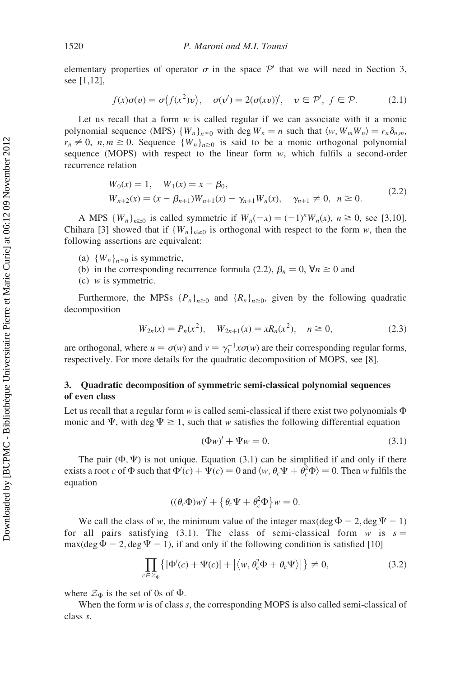elementary properties of operator  $\sigma$  in the space  $\mathcal{P}'$  that we will need in Section 3, see [1,12],

$$
f(x)\sigma(v) = \sigma(f(x^2)v), \quad \sigma(v') = 2(\sigma(xv))', \quad v \in \mathcal{P}', \ f \in \mathcal{P}.
$$
 (2.1)

Let us recall that a form  $w$  is called regular if we can associate with it a monic polynomial sequence (MPS)  $\{W_n\}_{n\geq 0}$  with deg  $W_n = n$  such that  $\langle w, W_m W_n \rangle = r_n \delta_{n,m}$ ,  $r_n \neq 0$ ,  $n, m \geq 0$ . Sequence  $\{W_n\}_{n \geq 0}$  is said to be a monic orthogonal polynomial sequence (MOPS) with respect to the linear form  $w$ , which fulfils a second-order recurrence relation

$$
W_0(x) = 1, \quad W_1(x) = x - \beta_0,
$$
  
\n
$$
W_{n+2}(x) = (x - \beta_{n+1})W_{n+1}(x) - \gamma_{n+1}W_n(x), \quad \gamma_{n+1} \neq 0, \quad n \ge 0.
$$
\n(2.2)

A MPS  $\{W_n\}_{n\geq 0}$  is called symmetric if  $W_n(-x) = (-1)^n W_n(x)$ ,  $n \geq 0$ , see [3,10]. Chihara [3] showed that if  ${W_n}_{n=0}$  is orthogonal with respect to the form w, then the following assertions are equivalent:

- (a)  ${W_n}_{n \geq 0}$  is symmetric,
- (b) in the corresponding recurrence formula (2.2),  $\beta_n = 0$ ,  $\forall n \ge 0$  and
- (c)  $w$  is symmetric.

Furthermore, the MPSs  ${P_n}_{n\geq 0}$  and  ${R_n}_{n\geq 0}$ , given by the following quadratic decomposition

$$
W_{2n}(x) = P_n(x^2), \quad W_{2n+1}(x) = xR_n(x^2), \quad n \ge 0,
$$
\n(2.3)

are orthogonal, where  $u = \sigma(w)$  and  $v = \gamma_1^{-1} x \sigma(w)$  are their corresponding regular forms, respectively. For more details for the quadratic decomposition of MOPS, see [8].

# 3. Quadratic decomposition of symmetric semi-classical polynomial sequences of even class

Let us recall that a regular form w is called semi-classical if there exist two polynomials  $\Phi$ monic and  $\Psi$ , with deg  $\Psi \geq 1$ , such that w satisfies the following differential equation

$$
(\Phi w)' + \Psi w = 0. \tag{3.1}
$$

The pair  $(\Phi, \Psi)$  is not unique. Equation (3.1) can be simplified if and only if there exists a root c of  $\Phi$  such that  $\Phi'(c) + \Psi(c) = 0$  and  $\langle w, \theta_c \Psi + \theta_c^2 \Phi \rangle = 0$ . Then w fulfils the equation

$$
((\theta_c \Phi)w)' + \{\theta_c \Psi + \theta_c^2 \Phi\}w = 0.
$$

We call the class of w, the minimum value of the integer max $(\deg \Phi - 2, \deg \Psi - 1)$ for all pairs satisfying (3.1). The class of semi-classical form w is  $s =$ max $(\deg \Phi - 2, \deg \Psi - 1)$ , if and only if the following condition is satisfied [10]

$$
\prod_{c \in \mathcal{Z}_{\Phi}} \left\{ |\Phi'(c) + \Psi(c)| + |\langle w, \theta_c^2 \Phi + \theta_c \Psi \rangle| \right\} \neq 0, \tag{3.2}
$$

where  $\mathcal{Z}_{\Phi}$  is the set of 0s of  $\Phi$ .

When the form  $w$  is of class  $s$ , the corresponding MOPS is also called semi-classical of class s.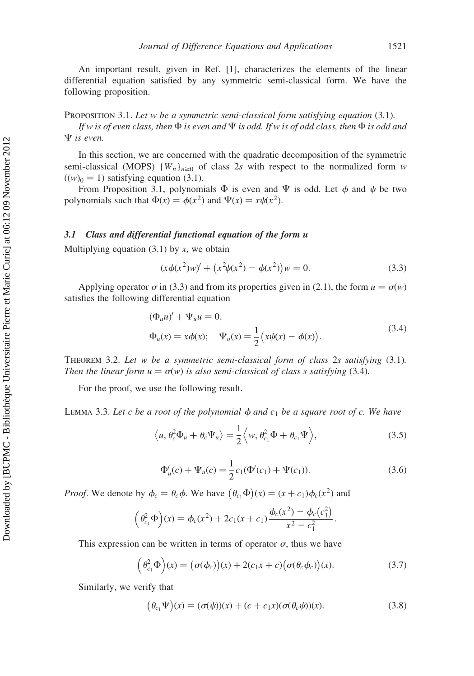An important result, given in Ref. [1], characterizes the elements of the linear differential equation satisfied by any symmetric semi-classical form. We have the following proposition.

## PROPOSITION 3.1. Let w be a symmetric semi-classical form satisfying equation (3.1).

If w is of even class, then  $\Phi$  is even and  $\Psi$  is odd. If w is of odd class, then  $\Phi$  is odd and  $\Psi$  is even.

In this section, we are concerned with the quadratic decomposition of the symmetric semi-classical (MOPS)  ${W_n}_{n \geq 0}$  of class 2s with respect to the normalized form w  $((w)<sub>0</sub> = 1)$  satisfying equation (3.1).

From Proposition 3.1, polynomials  $\Phi$  is even and  $\Psi$  is odd. Let  $\phi$  and  $\psi$  be two polynomials such that  $\Phi(x) = \phi(x^2)$  and  $\Psi(x) = x \psi(x^2)$ .

# 3.1 Class and differential functional equation of the form u

Multiplying equation  $(3.1)$  by x, we obtain

$$
(x\phi(x^2)w)' + (x^2\psi(x^2) - \phi(x^2))w = 0.
$$
 (3.3)

Applying operator  $\sigma$  in (3.3) and from its properties given in (2.1), the form  $u = \sigma(w)$ satisfies the following differential equation

$$
(\Phi_u u)' + \Psi_u u = 0,
$$
  
\n
$$
\Phi_u(x) = x\phi(x); \quad \Psi_u(x) = \frac{1}{2} \left( x\psi(x) - \phi(x) \right).
$$
\n(3.4)

Theorem 3.2. Let w be a symmetric semi-classical form of class 2s satisfying (3.1). Then the linear form  $u = \sigma(w)$  is also semi-classical of class s satisfying (3.4).

For the proof, we use the following result.

LEMMA 3.3. Let c be a root of the polynomial  $\phi$  and  $c_1$  be a square root of c. We have

$$
\langle u, \theta_c^2 \Phi_u + \theta_c \Psi_u \rangle = \frac{1}{2} \langle w, \theta_{c_1}^2 \Phi + \theta_{c_1} \Psi \rangle, \tag{3.5}
$$

$$
\Phi_u'(c) + \Psi_u(c) = \frac{1}{2}c_1(\Phi'(c_1) + \Psi(c_1)).
$$
\n(3.6)

*Proof.* We denote by  $\phi_c = \theta_c \phi$ . We have  $(\theta_c, \Phi)(x) = (x + c_1)\phi_c(x^2)$  and

$$
\left(\theta_{c_1}^2 \Phi\right)(x) = \phi_c(x^2) + 2c_1(x + c_1) \frac{\phi_c(x^2) - \phi_c(c_1^2)}{x^2 - c_1^2}.
$$

This expression can be written in terms of operator  $\sigma$ , thus we have

$$
\left(\theta_{c_1}^2 \Phi\right)(x) = \left(\sigma(\phi_c)\right)(x) + 2(c_1x + c)\left(\sigma(\theta_c \phi_c)\right)(x). \tag{3.7}
$$

Similarly, we verify that

$$
\left(\theta_{c_1}\Psi\right)(x) = (\sigma(\psi))(x) + (c + c_1x)(\sigma(\theta_c\psi))(x). \tag{3.8}
$$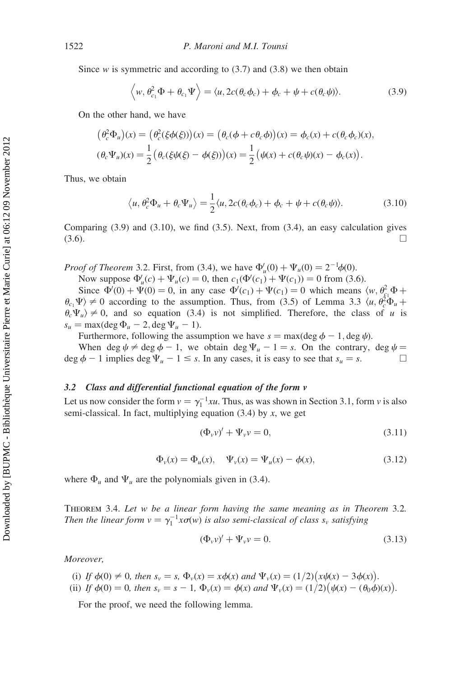Since w is symmetric and according to  $(3.7)$  and  $(3.8)$  we then obtain

$$
\langle w, \theta_{c_1}^2 \Phi + \theta_{c_1} \Psi \rangle = \langle u, 2c(\theta_c \phi_c) + \phi_c + \psi + c(\theta_c \psi) \rangle.
$$
 (3.9)

On the other hand, we have

$$
(\theta_c^2 \Phi_u)(x) = (\theta_c^2(\xi \phi(\xi)))(x) = (\theta_c(\phi + c\theta_c \phi))(x) = \phi_c(x) + c(\theta_c \phi_c)(x),
$$
  

$$
(\theta_c \Psi_u)(x) = \frac{1}{2} (\theta_c(\xi \psi(\xi) - \phi(\xi)))(x) = \frac{1}{2} (\psi(x) + c(\theta_c \psi)(x) - \phi_c(x)).
$$

Thus, we obtain

$$
\langle u, \theta_c^2 \Phi_u + \theta_c \Psi_u \rangle = \frac{1}{2} \langle u, 2c(\theta_c \phi_c) + \phi_c + \psi + c(\theta_c \psi) \rangle.
$$
 (3.10)

Comparing (3.9) and (3.10), we find (3.5). Next, from (3.4), an easy calculation gives  $(3.6)$ .

*Proof of Theorem* 3.2. First, from (3.4), we have  $\Phi_u'(0) + \Psi_u(0) = 2^{-1}\phi(0)$ .

Now suppose  $\Phi_u'(c) + \Psi_u(c) = 0$ , then  $c_1(\Phi'(c_1) + \Psi(c_1)) = 0$  from (3.6).

Since  $\Phi'(0) + \Psi(0) = 0$ , in any case  $\Phi'(c_1) + \Psi(c_1) = 0$  which means  $\langle w, \theta_{c_1}^2 \Phi +$  $\theta_{c_1}\Psi$   $\neq$  0 according to the assumption. Thus, from (3.5) of Lemma 3.3  $\langle u, \theta_c^2\Phi_u +$  $\theta_c \Psi_u$   $\neq$  0, and so equation (3.4) is not simplified. Therefore, the class of u is  $s_u = \max(\deg \Phi_u - 2, \deg \Psi_u - 1).$ 

Furthermore, following the assumption we have  $s = \max(\deg \phi - 1, \deg \psi)$ .

When deg  $\psi \neq \deg \phi - 1$ , we obtain deg  $\Psi_u - 1 = s$ . On the contrary, deg  $\psi =$ deg  $\phi$  - 1 implies deg  $\Psi_u$  - 1  $\leq$  s. In any cases, it is easy to see that  $s_u = s$ .

# 3.2 Class and differential functional equation of the form v

Let us now consider the form  $v = \gamma_1^{-1} x u$ . Thus, as was shown in Section 3.1, form v is also semi-classical. In fact, multiplying equation  $(3.4)$  by x, we get

$$
(\Phi_v v)' + \Psi_v v = 0,
$$
\n(3.11)

$$
\Phi_{\nu}(x) = \Phi_{u}(x), \quad \Psi_{\nu}(x) = \Psi_{u}(x) - \phi(x), \tag{3.12}
$$

where  $\Phi_u$  and  $\Psi_u$  are the polynomials given in (3.4).

THEOREM 3.4. Let w be a linear form having the same meaning as in Theorem 3.2. Then the linear form  $v = \gamma_1^{-1} x \sigma(w)$  is also semi-classical of class  $s_v$  satisfying

$$
(\Phi_v v)' + \Psi_v v = 0.
$$
 (3.13)

Moreover,

- (i) If  $\phi(0) \neq 0$ , then  $s_v = s$ ,  $\Phi_v(x) = x\phi(x)$  and  $\Psi_v(x) = (1/2)(x\psi(x) 3\phi(x))$ .
- (ii) If  $\phi(0) = 0$ , then  $s_v = s 1$ ,  $\Phi_v(x) = \phi(x)$  and  $\Psi_v(x) = (1/2)(\psi(x) (\theta_0 \phi)(x))$ .

For the proof, we need the following lemma.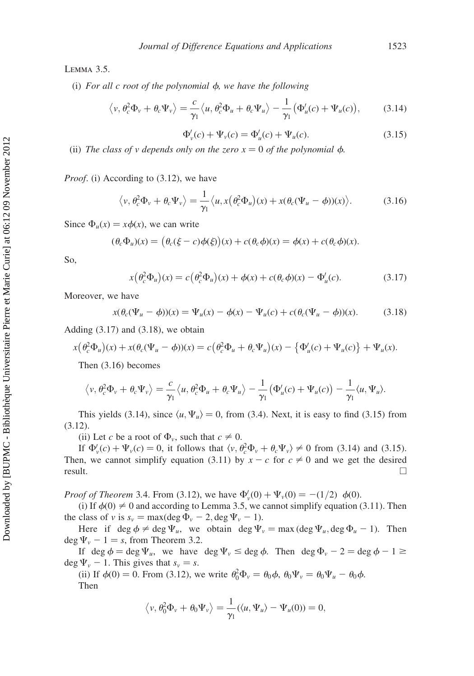Lemma 3.5.

(i) For all c root of the polynomial  $\phi$ , we have the following

$$
\langle v, \theta_c^2 \Phi_v + \theta_c \Psi_v \rangle = \frac{c}{\gamma_1} \langle u, \theta_c^2 \Phi_u + \theta_c \Psi_u \rangle - \frac{1}{\gamma_1} (\Phi_u'(c) + \Psi_u(c)), \quad (3.14)
$$

$$
\Phi'_{\nu}(c) + \Psi_{\nu}(c) = \Phi'_{\nu}(c) + \Psi_{\nu}(c).
$$
\n(3.15)

(ii) The class of v depends only on the zero  $x = 0$  of the polynomial  $\phi$ .

Proof. (i) According to (3.12), we have

$$
\langle v, \theta_c^2 \Phi_v + \theta_c \Psi_v \rangle = \frac{1}{\gamma_1} \langle u, x(\theta_c^2 \Phi_u)(x) + x(\theta_c(\Psi_u - \phi))(x) \rangle.
$$
 (3.16)

Since  $\Phi_u(x) = x\phi(x)$ , we can write

$$
(\theta_c \Phi_u)(x) = (\theta_c(\xi - c)\phi(\xi))(x) + c(\theta_c \phi)(x) = \phi(x) + c(\theta_c \phi)(x).
$$

So,

$$
x(\theta_c^2 \Phi_u)(x) = c(\theta_c^2 \Phi_u)(x) + \phi(x) + c(\theta_c \phi)(x) - \Phi_u'(c). \tag{3.17}
$$

Moreover, we have

$$
x(\theta_c(\Psi_u - \phi))(x) = \Psi_u(x) - \phi(x) - \Psi_u(c) + c(\theta_c(\Psi_u - \phi))(x).
$$
 (3.18)

Adding  $(3.17)$  and  $(3.18)$ , we obtain

$$
x(\theta_c^2 \Phi_u)(x) + x(\theta_c(\Psi_u - \phi))(x) = c(\theta_c^2 \Phi_u + \theta_c \Psi_u)(x) - {\Phi'_u(c) + \Psi_u(c)} + \Psi_u(x).
$$

Then (3.16) becomes

$$
\langle v, \theta_c^2 \Phi_v + \theta_c \Psi_v \rangle = \frac{c}{\gamma_1} \langle u, \theta_c^2 \Phi_u + \theta_c \Psi_u \rangle - \frac{1}{\gamma_1} (\Phi_u'(c) + \Psi_u(c)) - \frac{1}{\gamma_1} \langle u, \Psi_u \rangle.
$$

This yields (3.14), since  $\langle u, \Psi_u \rangle = 0$ , from (3.4). Next, it is easy to find (3.15) from (3.12).

(ii) Let c be a root of  $\Phi_{\nu}$ , such that  $c \neq 0$ .

If  $\Phi'_{\nu}(c) + \Psi_{\nu}(c) = 0$ , it follows that  $\langle v, \theta_c^2 \Phi_{\nu} + \theta_c \Psi_{\nu} \rangle \neq 0$  from (3.14) and (3.15). Then, we cannot simplify equation (3.11) by  $x - c$  for  $c \neq 0$  and we get the desired  $\Box$  result.

*Proof of Theorem* 3.4. From (3.12), we have  $\Phi_{\nu}'(0) + \Psi_{\nu}(0) = -(1/2) \phi(0)$ .

(i) If  $\phi(0) \neq 0$  and according to Lemma 3.5, we cannot simplify equation (3.11). Then the class of v is  $s_v = \max(\deg \Phi_v - 2, \deg \Psi_v - 1)$ .

Here if  $\deg \phi \neq \deg \Psi_u$ , we obtain  $\deg \Psi_v = \max(\deg \Psi_u, \deg \Phi_u - 1)$ . Then deg  $\Psi_v$  – 1 = s, from Theorem 3.2.

If deg  $\phi = \deg \Psi_u$ , we have  $\deg \Psi_v \leq \deg \phi$ . Then  $\deg \Phi_v - 2 = \deg \phi - 1 \geq 1$  $\deg \Psi_{v}$  – 1. This gives that  $s_{v} = s$ .

(ii) If  $\phi(0) = 0$ . From (3.12), we write  $\theta_0^2 \Phi_v = \theta_0 \phi$ ,  $\theta_0 \Psi_v = \theta_0 \Psi_u - \theta_0 \phi$ . Then

$$
\langle v, \theta_0^2 \Phi_v + \theta_0 \Psi_v \rangle = \frac{1}{\gamma_1} (\langle u, \Psi_u \rangle - \Psi_u(0)) = 0,
$$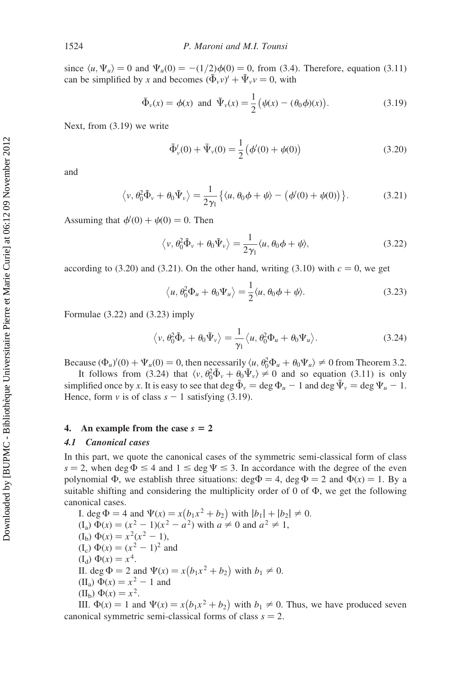since  $\langle u, \Psi_u \rangle = 0$  and  $\Psi_u(0) = -(1/2)\phi(0) = 0$ , from (3.4). Therefore, equation (3.11) can be simplified by x and becomes  $(\tilde{\Phi}_v v)' + \tilde{\Psi}_v v = 0$ , with

$$
\tilde{\Phi}_\nu(x) = \phi(x)
$$
 and  $\tilde{\Psi}_\nu(x) = \frac{1}{2} (\psi(x) - (\theta_0 \phi)(x)).$  (3.19)

Next, from (3.19) we write

$$
\tilde{\Phi}'_{\nu}(0) + \tilde{\Psi}_{\nu}(0) = \frac{1}{2} (\phi'(0) + \psi(0))
$$
\n(3.20)

and

$$
\langle v, \theta_0^2 \tilde{\Phi}_v + \theta_0 \tilde{\Psi}_v \rangle = \frac{1}{2\gamma_1} \{ \langle u, \theta_0 \phi + \psi \rangle - (\phi'(0) + \psi(0)) \}.
$$
 (3.21)

Assuming that  $\phi'(0) + \psi(0) = 0$ . Then

$$
\langle v, \theta_0^2 \tilde{\Phi}_v + \theta_0 \tilde{\Psi}_v \rangle = \frac{1}{2\gamma_1} \langle u, \theta_0 \phi + \psi \rangle, \tag{3.22}
$$

according to (3.20) and (3.21). On the other hand, writing (3.10) with  $c = 0$ , we get

$$
\langle u, \theta_0^2 \Phi_u + \theta_0 \Psi_u \rangle = \frac{1}{2} \langle u, \theta_0 \phi + \psi \rangle.
$$
 (3.23)

Formulae (3.22) and (3.23) imply

$$
\langle v, \theta_0^2 \tilde{\Phi}_v + \theta_0 \tilde{\Psi}_v \rangle = \frac{1}{\gamma_1} \langle u, \theta_0^2 \Phi_u + \theta_0 \Psi_u \rangle.
$$
 (3.24)

Because  $(\Phi_u)'(0) + \Psi_u(0) = 0$ , then necessarily  $\langle u, \theta_0^2 \Phi_u + \theta_0 \Psi_u \rangle \neq 0$  from Theorem 3.2.

It follows from (3.24) that  $\langle v, \theta_0^2 \tilde{\Phi}_v + \theta_0 \tilde{\Psi}_v \rangle \neq 0$  and so equation (3.11) is only simplified once by x. It is easy to see that deg  $\tilde{\Phi}_v = \deg \Phi_u - 1$  and  $\deg \tilde{\Psi}_v = \deg \Psi_u - 1$ . Hence, form v is of class  $s - 1$  satisfying (3.19).

## 4. An example from the case  $s = 2$

## 4.1 Canonical cases

In this part, we quote the canonical cases of the symmetric semi-classical form of class  $s = 2$ , when deg  $\Phi \leq 4$  and  $1 \leq \deg \Psi \leq 3$ . In accordance with the degree of the even polynomial  $\Phi$ , we establish three situations: deg $\Phi = 4$ , deg  $\Phi = 2$  and  $\Phi(x) = 1$ . By a suitable shifting and considering the multiplicity order of  $0$  of  $\Phi$ , we get the following canonical cases.

I. deg  $\Phi = 4$  and  $\Psi(x) = x(b_1x^2 + b_2)$  with  $|b_1| + |b_2| \neq 0$ .  $(I_a) \Phi(x) = (x^2 - 1)(x^2 - a^2)$  with  $a \neq 0$  and  $a^2 \neq 1$ ,  $(I<sub>b</sub>) \Phi(x) = x<sup>2</sup>(x<sup>2</sup> - 1),$  $(I_c) \Phi(x) = (x^2 - 1)^2$  and  $(I_d) \Phi(x) = x^4$ . II. deg  $\Phi = 2$  and  $\Psi(x) = x(b_1x^2 + b_2)$  with  $b_1 \neq 0$ . (II<sub>a</sub>)  $\Phi(x) = x^2 - 1$  and (II<sub>b</sub>)  $\Phi(x) = x^2$ . III.  $\Phi(x) = 1$  and  $\Psi(x) = x(b_1x^2 + b_2)$  with  $b_1 \neq 0$ . Thus, we have produced seven

canonical symmetric semi-classical forms of class  $s = 2$ .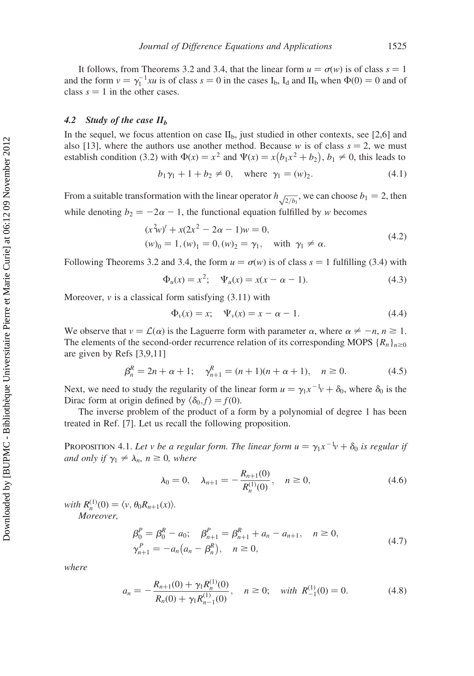It follows, from Theorems 3.2 and 3.4, that the linear form  $u = \sigma(w)$  is of class  $s = 1$ and the form  $v = \gamma_1^{-1}xu$  is of class  $s = 0$  in the cases  $I_b$ ,  $I_d$  and  $II_b$  when  $\Phi(0) = 0$  and of class  $s = 1$  in the other cases.

# 4.2 Study of the case  $II<sub>b</sub>$

In the sequel, we focus attention on case  $II<sub>b</sub>$ , just studied in other contexts, see [2,6] and also [13], where the authors use another method. Because w is of class  $s = 2$ , we must establish condition (3.2) with  $\Phi(x) = x^2$  and  $\Psi(x) = x(b_1x^2 + b_2)$ ,  $b_1 \neq 0$ , this leads to

$$
b_1 \gamma_1 + 1 + b_2 \neq 0
$$
, where  $\gamma_1 = (w)_2$ . (4.1)

From a suitable transformation with the linear operator  $h_{\sqrt{2/b_1}}$ , we can choose  $b_1 = 2$ , then while denoting  $b_2 = -2\alpha - 1$ , the functional equation fulfilled by w becomes

$$
(x2w)' + x(2x2 - 2\alpha - 1)w = 0,(w)0 = 1, (w)1 = 0, (w)2 = \gamma1, with \gamma1 \neq \alpha.
$$
 (4.2)

Following Theorems 3.2 and 3.4, the form  $u = \sigma(w)$  is of class  $s = 1$  fulfilling (3.4) with

$$
\Phi_u(x) = x^2; \quad \Psi_u(x) = x(x - \alpha - 1). \tag{4.3}
$$

Moreover,  $\nu$  is a classical form satisfying (3.11) with

$$
\Phi_{\nu}(x) = x; \quad \Psi_{\nu}(x) = x - \alpha - 1. \tag{4.4}
$$

We observe that  $v = \mathcal{L}(\alpha)$  is the Laguerre form with parameter  $\alpha$ , where  $\alpha \neq -n, n \geq 1$ . The elements of the second-order recurrence relation of its corresponding MOPS  ${R_n}_{n\geq 0}$ are given by Refs [3,9,11]

$$
\beta_n^R = 2n + \alpha + 1; \quad \gamma_{n+1}^R = (n+1)(n+\alpha+1), \quad n \ge 0.
$$
 (4.5)

Next, we need to study the regularity of the linear form  $u = \gamma_1 x^{-1} v + \delta_0$ , where  $\delta_0$  is the Dirac form at origin defined by  $\langle \delta_0, f \rangle = f(0)$ .

The inverse problem of the product of a form by a polynomial of degree 1 has been treated in Ref. [7]. Let us recall the following proposition.

PROPOSITION 4.1. Let v be a regular form. The linear form  $u = \gamma_1 x^{-1} v + \delta_0$  is regular if and only if  $\gamma_1 \neq \lambda_n$ ,  $n \geq 0$ , where

$$
\lambda_0 = 0, \quad \lambda_{n+1} = -\frac{R_{n+1}(0)}{R_n^{(1)}(0)}, \quad n \ge 0,
$$
\n(4.6)

with  $R_n^{(1)}(0) = \langle v, \theta_0 R_{n+1}(x) \rangle$ . Moreover,

$$
\beta_0^P = \beta_0^R - a_0; \quad \beta_{n+1}^P = \beta_{n+1}^R + a_n - a_{n+1}, \quad n \ge 0,
$$
  
\n
$$
\gamma_{n+1}^P = -a_n(a_n - \beta_n^R), \quad n \ge 0,
$$
\n(4.7)

where

$$
a_n = -\frac{R_{n+1}(0) + \gamma_1 R_n^{(1)}(0)}{R_n(0) + \gamma_1 R_{n-1}^{(1)}(0)}, \quad n \ge 0; \quad \text{with } R_{-1}^{(1)}(0) = 0. \tag{4.8}
$$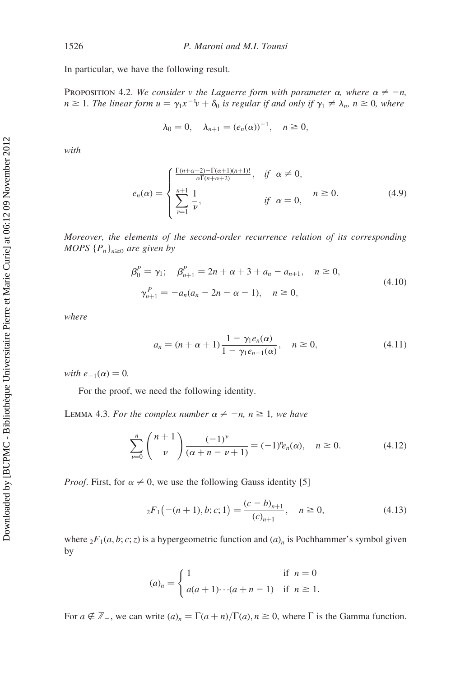In particular, we have the following result.

PROPOSITION 4.2. We consider v the Laguerre form with parameter  $\alpha$ , where  $\alpha \neq -n$ ,  $n \geq 1$ . The linear form  $u = \gamma_1 x^{-1} v + \delta_0$  is regular if and only if  $\gamma_1 \neq \lambda_n$ ,  $n \geq 0$ , where

$$
\lambda_0 = 0
$$
,  $\lambda_{n+1} = (e_n(\alpha))^{-1}$ ,  $n \ge 0$ ,

with

$$
e_n(\alpha) = \begin{cases} \frac{\Gamma(n+\alpha+2)-\Gamma(\alpha+1)(n+1)!}{\alpha \Gamma(n+\alpha+2)}, & \text{if } \alpha \neq 0, \\ \sum_{\nu=1}^{n+1} \frac{1}{\nu}, & \text{if } \alpha = 0, \end{cases}
$$
 (4.9)

Moreover, the elements of the second-order recurrence relation of its corresponding MOPS  ${P_n}_{n\geq 0}$  are given by

$$
\beta_0^P = \gamma_1; \quad \beta_{n+1}^P = 2n + \alpha + 3 + a_n - a_{n+1}, \quad n \ge 0,
$$
  

$$
\gamma_{n+1}^P = -a_n(a_n - 2n - \alpha - 1), \quad n \ge 0,
$$
 (4.10)

where

$$
a_n = (n + \alpha + 1) \frac{1 - \gamma_1 e_n(\alpha)}{1 - \gamma_1 e_{n-1}(\alpha)}, \quad n \ge 0,
$$
\n(4.11)

with  $e_{-1}(\alpha) = 0$ .

For the proof, we need the following identity.

LEMMA 4.3. For the complex number  $\alpha \neq -n$ ,  $n \geq 1$ , we have

$$
\sum_{\nu=0}^{n} {n+1 \choose \nu} \frac{(-1)^{\nu}}{(\alpha+n-\nu+1)} = (-1)^{n} e_n(\alpha), \quad n \ge 0.
$$
 (4.12)

*Proof.* First, for  $\alpha \neq 0$ , we use the following Gauss identity [5]

$$
{}_2F_1(-(n+1),b;c;1) = \frac{(c-b)_{n+1}}{(c)_{n+1}}, \quad n \ge 0,
$$
\n(4.13)

where  ${}_2F_1(a, b; c; z)$  is a hypergeometric function and  $(a)_n$  is Pochhammer's symbol given by

$$
(a)_n = \begin{cases} 1 & \text{if } n = 0 \\ a(a+1)\cdots(a+n-1) & \text{if } n \ge 1. \end{cases}
$$

For  $a \notin \mathbb{Z}$ , we can write  $(a)_n = \Gamma(a+n)/\Gamma(a)$ ,  $n \ge 0$ , where  $\Gamma$  is the Gamma function.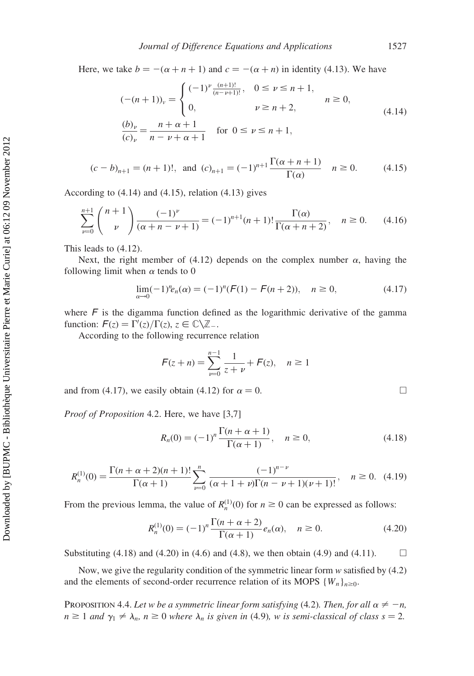Here, we take  $b = -(\alpha + n + 1)$  and  $c = -(\alpha + n)$  in identity (4.13). We have

$$
(- (n+1))_{\nu} = \begin{cases} (-1)^{\nu} \frac{(n+1)!}{(n-\nu+1)!}, & 0 \le \nu \le n+1, \\ 0, & \nu \ge n+2, \end{cases} \quad n \ge 0,
$$
  
(4.14)  

$$
\frac{(b)_{\nu}}{(c)_{\nu}} = \frac{n+\alpha+1}{n-\nu+\alpha+1} \quad \text{for } 0 \le \nu \le n+1,
$$

$$
(c - b)_{n+1} = (n+1)!, \text{ and } (c)_{n+1} = (-1)^{n+1} \frac{\Gamma(\alpha + n + 1)}{\Gamma(\alpha)} \quad n \ge 0. \tag{4.15}
$$

According to (4.14) and (4.15), relation (4.13) gives

$$
\sum_{\nu=0}^{n+1} {n+1 \choose \nu} \frac{(-1)^{\nu}}{(\alpha+n-\nu+1)} = (-1)^{n+1}(n+1)! \frac{\Gamma(\alpha)}{\Gamma(\alpha+n+2)}, \quad n \ge 0. \tag{4.16}
$$

This leads to (4.12).

Next, the right member of (4.12) depends on the complex number  $\alpha$ , having the following limit when  $\alpha$  tends to 0

$$
\lim_{\alpha \to 0} (-1)^n e_n(\alpha) = (-1)^n (F(1) - F(n+2)), \quad n \ge 0,
$$
\n(4.17)

where  $\ddot{F}$  is the digamma function defined as the logarithmic derivative of the gamma function:  $F(z) = \Gamma'(z)/\Gamma(z), z \in \mathbb{C} \backslash \mathbb{Z}$ .

According to the following recurrence relation

$$
F(z+n) = \sum_{\nu=0}^{n-1} \frac{1}{z+\nu} + F(z), \quad n \ge 1
$$

and from (4.17), we easily obtain (4.12) for  $\alpha = 0$ .

Proof of Proposition 4.2. Here, we have [3,7]

$$
R_n(0) = (-1)^n \frac{\Gamma(n + \alpha + 1)}{\Gamma(\alpha + 1)}, \quad n \ge 0,
$$
\n(4.18)

$$
R_n^{(1)}(0) = \frac{\Gamma(n+\alpha+2)(n+1)!}{\Gamma(\alpha+1)} \sum_{\nu=0}^n \frac{(-1)^{n-\nu}}{(\alpha+1+\nu)\Gamma(n-\nu+1)(\nu+1)!}, \quad n \ge 0. \tag{4.19}
$$

From the previous lemma, the value of  $R_n^{(1)}(0)$  for  $n \ge 0$  can be expressed as follows:

$$
R_n^{(1)}(0) = (-1)^n \frac{\Gamma(n + \alpha + 2)}{\Gamma(\alpha + 1)} e_n(\alpha), \quad n \ge 0.
$$
 (4.20)

Substituting (4.18) and (4.20) in (4.6) and (4.8), we then obtain (4.9) and (4.11).  $\Box$ 

Now, we give the regularity condition of the symmetric linear form  $w$  satisfied by (4.2) and the elements of second-order recurrence relation of its MOPS  $\{W_n\}_{n\geq 0}$ .

PROPOSITION 4.4. Let w be a symmetric linear form satisfying (4.2). Then, for all  $\alpha \neq -n$ ,  $n \ge 1$  and  $\gamma_1 \ne \lambda_n$ ,  $n \ge 0$  where  $\lambda_n$  is given in (4.9), w is semi-classical of class  $s = 2$ .

$$
\sqcup
$$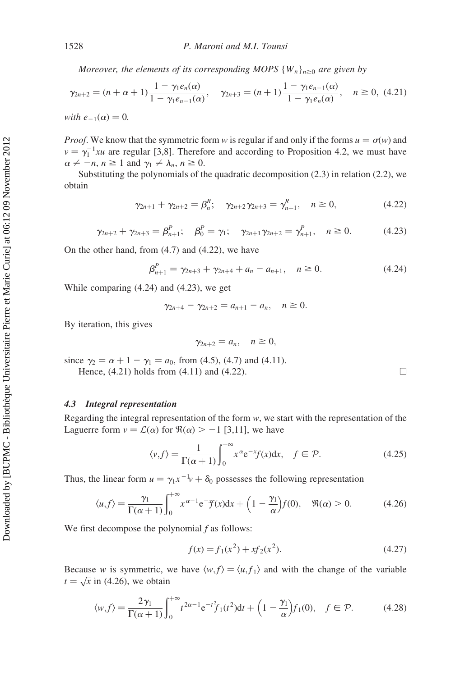Moreover, the elements of its corresponding MOPS  ${W_n}_{n\geq 0}$  are given by

$$
\gamma_{2n+2} = (n + \alpha + 1) \frac{1 - \gamma_1 e_n(\alpha)}{1 - \gamma_1 e_{n-1}(\alpha)}, \quad \gamma_{2n+3} = (n + 1) \frac{1 - \gamma_1 e_{n-1}(\alpha)}{1 - \gamma_1 e_n(\alpha)}, \quad n \ge 0, \ (4.21)
$$
  
with  $e_{-1}(\alpha) = 0$ .

*Proof.* We know that the symmetric form w is regular if and only if the forms  $u = \sigma(w)$  and  $v = \gamma_1^{-1}xu$  are regular [3,8]. Therefore and according to Proposition 4.2, we must have  $\alpha \neq -n, n \geq 1$  and  $\gamma_1 \neq \lambda_n, n \geq 0$ .

Substituting the polynomials of the quadratic decomposition (2.3) in relation (2.2), we obtain

$$
\gamma_{2n+1} + \gamma_{2n+2} = \beta_n^R; \quad \gamma_{2n+2}\gamma_{2n+3} = \gamma_{n+1}^R, \quad n \ge 0,
$$
\n(4.22)

$$
\gamma_{2n+2} + \gamma_{2n+3} = \beta_{n+1}^P; \quad \beta_0^P = \gamma_1; \quad \gamma_{2n+1}\gamma_{2n+2} = \gamma_{n+1}^P, \quad n \ge 0. \tag{4.23}
$$

On the other hand, from (4.7) and (4.22), we have

$$
\beta_{n+1}^P = \gamma_{2n+3} + \gamma_{2n+4} + a_n - a_{n+1}, \quad n \ge 0.
$$
 (4.24)

While comparing (4.24) and (4.23), we get

$$
\gamma_{2n+4} - \gamma_{2n+2} = a_{n+1} - a_n, \quad n \ge 0.
$$

By iteration, this gives

$$
\gamma_{2n+2}=a_n,\quad n\geq 0,
$$

since  $\gamma_2 = \alpha + 1 - \gamma_1 = a_0$ , from (4.5), (4.7) and (4.11).

Hence,  $(4.21)$  holds from  $(4.11)$  and  $(4.22)$ .

## 4.3 Integral representation

Regarding the integral representation of the form  $w$ , we start with the representation of the Laguerre form  $v = \mathcal{L}(\alpha)$  for  $\Re(\alpha) > -1$  [3,11], we have

$$
\langle v, f \rangle = \frac{1}{\Gamma(\alpha + 1)} \int_0^{+\infty} x^{\alpha} e^{-x} f(x) dx, \quad f \in \mathcal{P}.
$$
 (4.25)

Thus, the linear form  $u = \gamma_1 x^{-1} v + \delta_0$  possesses the following representation

$$
\langle u, f \rangle = \frac{\gamma_1}{\Gamma(\alpha+1)} \int_0^{+\infty} x^{\alpha-1} e^{-x} f(x) dx + \left(1 - \frac{\gamma_1}{\alpha}\right) f(0), \quad \Re(\alpha) > 0. \tag{4.26}
$$

We first decompose the polynomial  $f$  as follows:

$$
f(x) = f_1(x^2) + xf_2(x^2).
$$
 (4.27)

Because w is symmetric, we have  $\langle w, f \rangle = \langle u, f_1 \rangle$  and with the change of the variable because *w* is symmetric, v<br>  $t = \sqrt{x}$  in (4.26), we obtain

$$
\langle w, f \rangle = \frac{2\gamma_1}{\Gamma(\alpha+1)} \int_0^{+\infty} t^{2\alpha-1} e^{-t^2} f_1(t^2) dt + \left(1 - \frac{\gamma_1}{\alpha}\right) f_1(0), \quad f \in \mathcal{P}.
$$
 (4.28)

$$
\Box
$$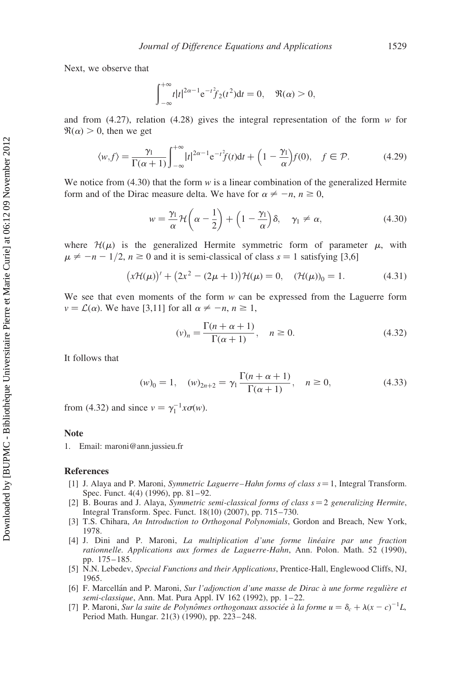Next, we observe that

$$
\int_{-\infty}^{+\infty} t|t|^{2\alpha-1} e^{-t^2} f_2(t^2) dt = 0, \quad \Re(\alpha) > 0,
$$

and from  $(4.27)$ , relation  $(4.28)$  gives the integral representation of the form w for  $\Re(\alpha) > 0$ , then we get

$$
\langle w, f \rangle = \frac{\gamma_1}{\Gamma(\alpha+1)} \int_{-\infty}^{+\infty} |t|^{2\alpha-1} e^{-t^2} f(t) dt + \left(1 - \frac{\gamma_1}{\alpha}\right) f(0), \quad f \in \mathcal{P}.
$$
 (4.29)

We notice from  $(4.30)$  that the form w is a linear combination of the generalized Hermite form and of the Dirac measure delta. We have for  $\alpha \neq -n, n \geq 0$ ,

$$
w = \frac{\gamma_1}{\alpha} \mathcal{H}\left(\alpha - \frac{1}{2}\right) + \left(1 - \frac{\gamma_1}{\alpha}\right)\delta, \quad \gamma_1 \neq \alpha,
$$
 (4.30)

where  $\mathcal{H}(\mu)$  is the generalized Hermite symmetric form of parameter  $\mu$ , with  $\mu \neq -n-1/2$ ,  $n \ge 0$  and it is semi-classical of class  $s = 1$  satisfying [3,6]

$$
(x\mathcal{H}(\mu))' + (2x^2 - (2\mu + 1))\mathcal{H}(\mu) = 0, \quad (\mathcal{H}(\mu))_0 = 1.
$$
 (4.31)

We see that even moments of the form  $w$  can be expressed from the Laguerre form  $v = \mathcal{L}(\alpha)$ . We have [3,11] for all  $\alpha \neq -n, n \geq 1$ ,

$$
(\nu)_n = \frac{\Gamma(n + \alpha + 1)}{\Gamma(\alpha + 1)}, \quad n \ge 0.
$$
 (4.32)

It follows that

$$
(w)_0 = 1, \quad (w)_{2n+2} = \gamma_1 \frac{\Gamma(n+\alpha+1)}{\Gamma(\alpha+1)}, \quad n \ge 0,
$$
\n(4.33)

from (4.32) and since  $v = \gamma_1^{-1} x \sigma(w)$ .

## Note

1. Email: maroni@ann.jussieu.fr

#### References

- [1] J. Alaya and P. Maroni, Symmetric Laguerre–Hahn forms of class  $s = 1$ , Integral Transform. Spec. Funct. 4(4) (1996), pp. 81-92.
- [2] B. Bouras and J. Alaya, Symmetric semi-classical forms of class  $s = 2$  generalizing Hermite, Integral Transform. Spec. Funct. 18(10) (2007), pp. 715– 730.
- [3] T.S. Chihara, An Introduction to Orthogonal Polynomials, Gordon and Breach, New York, 1978.
- [4] J. Dini and P. Maroni, La multiplication d'une forme linéaire par une fraction rationnelle. Applications aux formes de Laguerre-Hahn, Ann. Polon. Math. 52 (1990), pp. 175 – 185.
- [5] N.N. Lebedev, Special Functions and their Applications, Prentice-Hall, Englewood Cliffs, NJ, 1965.
- [6] F. Marcellán and P. Maroni, Sur l'adjonction d'une masse de Dirac à une forme regulière et semi-classique, Ann. Mat. Pura Appl. IV 162 (1992), pp. 1-22.
- [7] P. Maroni, Sur la suite de Polynômes orthogonaux associée à la forme  $u = \delta_c + \lambda (x c)^{-1} L$ , Period Math. Hungar. 21(3) (1990), pp. 223– 248.